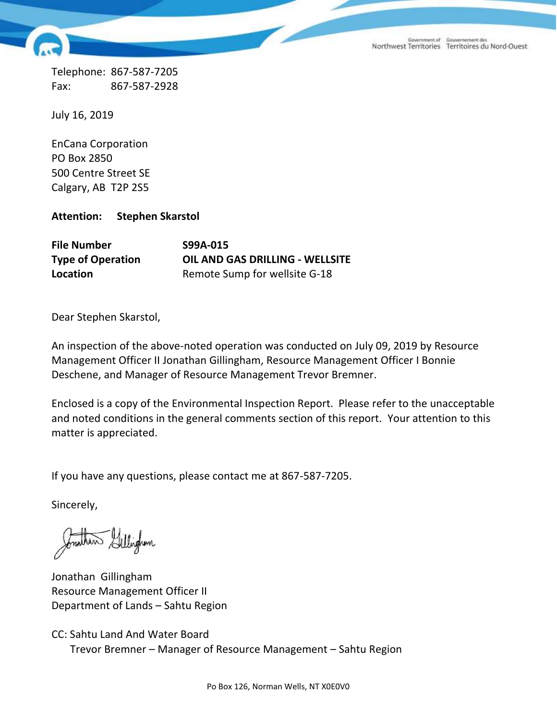Government of Gouvernement des<br>Northwest Territories Territoires du Nord-Ouest

Telephone: 867-587-7205 Fax: 867-587-2928

July 16, 2019

EnCana Corporation PO Box 2850 500 Centre Street SE Calgary, AB T2P 2S5

**Attention: Stephen Skarstol**

| <b>File Number</b>       | S99A-015                               |
|--------------------------|----------------------------------------|
| <b>Type of Operation</b> | <b>OIL AND GAS DRILLING - WELLSITE</b> |
| Location                 | Remote Sump for wellsite G-18          |

Dear Stephen Skarstol,

An inspection of the above-noted operation was conducted on July 09, 2019 by Resource Management Officer II Jonathan Gillingham, Resource Management Officer I Bonnie Deschene, and Manager of Resource Management Trevor Bremner.

Enclosed is a copy of the Environmental Inspection Report. Please refer to the unacceptable and noted conditions in the general comments section of this report. Your attention to this matter is appreciated.

If you have any questions, please contact me at 867-587-7205.

Sincerely,

Gillingham

Jonathan Gillingham Resource Management Officer II Department of Lands – Sahtu Region

CC: Sahtu Land And Water Board Trevor Bremner – Manager of Resource Management – Sahtu Region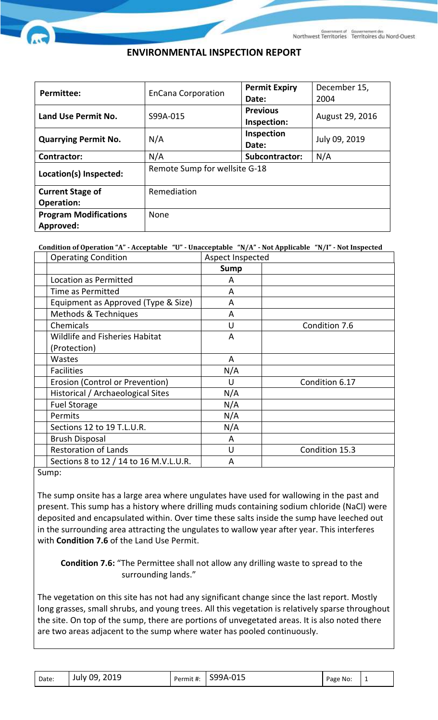## **ENVIRONMENTAL INSPECTION REPORT**

| <b>Permittee:</b>            | <b>EnCana Corporation</b>     | <b>Permit Expiry</b><br>Date: | December 15,<br>2004 |  |
|------------------------------|-------------------------------|-------------------------------|----------------------|--|
|                              |                               | <b>Previous</b>               |                      |  |
| Land Use Permit No.          | S99A-015                      | Inspection:                   | August 29, 2016      |  |
|                              |                               | Inspection                    |                      |  |
| <b>Quarrying Permit No.</b>  | N/A                           | Date:                         | July 09, 2019        |  |
| <b>Contractor:</b>           | N/A                           | Subcontractor:                | N/A                  |  |
| Location(s) Inspected:       | Remote Sump for wellsite G-18 |                               |                      |  |
| <b>Current Stage of</b>      | Remediation                   |                               |                      |  |
| <b>Operation:</b>            |                               |                               |                      |  |
| <b>Program Modifications</b> | <b>None</b>                   |                               |                      |  |
| Approved:                    |                               |                               |                      |  |

**Condition of Operation "A" - Acceptable "U" - Unacceptable "N/A" - Not Applicable "N/I" - Not Inspected**

| <b>Operating Condition</b>             | Aspect Inspected |                |
|----------------------------------------|------------------|----------------|
|                                        | <b>Sump</b>      |                |
| Location as Permitted                  | A                |                |
| Time as Permitted                      | A                |                |
| Equipment as Approved (Type & Size)    | A                |                |
| Methods & Techniques                   | A                |                |
| Chemicals                              | U                | Condition 7.6  |
| <b>Wildlife and Fisheries Habitat</b>  | A                |                |
| (Protection)                           |                  |                |
| <b>Wastes</b>                          | A                |                |
| <b>Facilities</b>                      | N/A              |                |
| Erosion (Control or Prevention)        | U                | Condition 6.17 |
| Historical / Archaeological Sites      | N/A              |                |
| <b>Fuel Storage</b>                    | N/A              |                |
| Permits                                | N/A              |                |
| Sections 12 to 19 T.L.U.R.             | N/A              |                |
| <b>Brush Disposal</b>                  | A                |                |
| <b>Restoration of Lands</b>            | U                | Condition 15.3 |
| Sections 8 to 12 / 14 to 16 M.V.L.U.R. | A                |                |

Sump:

The sump onsite has a large area where ungulates have used for wallowing in the past and present. This sump has a history where drilling muds containing sodium chloride (NaCl) were deposited and encapsulated within. Over time these salts inside the sump have leeched out in the surrounding area attracting the ungulates to wallow year after year. This interferes with **Condition 7.6** of the Land Use Permit.

## **Condition 7.6:** "The Permittee shall not allow any drilling waste to spread to the surrounding lands."

The vegetation on this site has not had any significant change since the last report. Mostly long grasses, small shrubs, and young trees. All this vegetation is relatively sparse throughout the site. On top of the sump, there are portions of unvegetated areas. It is also noted there are two areas adjacent to the sump where water has pooled continuously.

| Date: | July 09, 2019 |  | Permit #: S99A-015 | Page No: |  |
|-------|---------------|--|--------------------|----------|--|
|-------|---------------|--|--------------------|----------|--|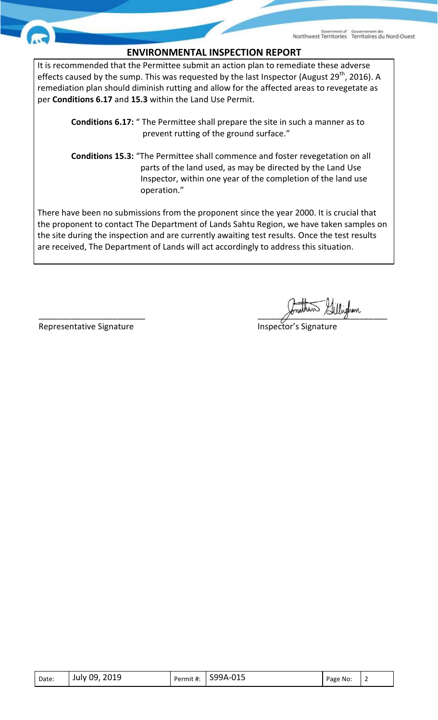## **ENVIRONMENTAL INSPECTION REPORT**

It is recommended that the Permittee submit an action plan to remediate these adverse effects caused by the sump. This was requested by the last Inspector (August 29<sup>th</sup>, 2016). A remediation plan should diminish rutting and allow for the affected areas to revegetate as per **Conditions 6.17** and **15.3** within the Land Use Permit.

 **Conditions 6.17:** " The Permittee shall prepare the site in such a manner as to prevent rutting of the ground surface."

 **Conditions 15.3:** "The Permittee shall commence and foster revegetation on all parts of the land used, as may be directed by the Land Use Inspector, within one year of the completion of the land use operation."

There have been no submissions from the proponent since the year 2000. It is crucial that the proponent to contact The Department of Lands Sahtu Region, we have taken samples on the site during the inspection and are currently awaiting test results. Once the test results are received, The Department of Lands will act accordingly to address this situation.

Representative Signature **Inspector's Signature** Inspector's Signature

 $\mathscr{P}$ 

| Date: | July 09, 2019 |  | Permit #: $\vert$ S99A-015 | Page No: |  |
|-------|---------------|--|----------------------------|----------|--|
|-------|---------------|--|----------------------------|----------|--|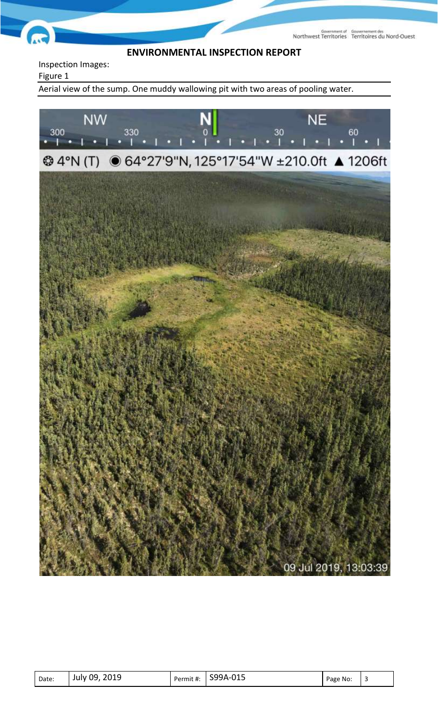Northwest Territories Territoires du Nord-Ouest

## **ENVIRONMENTAL INSPECTION REPORT**

Inspection Images:

Figure 1

Aerial view of the sump. One muddy wallowing pit with two areas of pooling water.



| Date: | July 09, 2019 |  | $\mid$ Permit #: S99A-015 | Page No: |  |
|-------|---------------|--|---------------------------|----------|--|
|-------|---------------|--|---------------------------|----------|--|